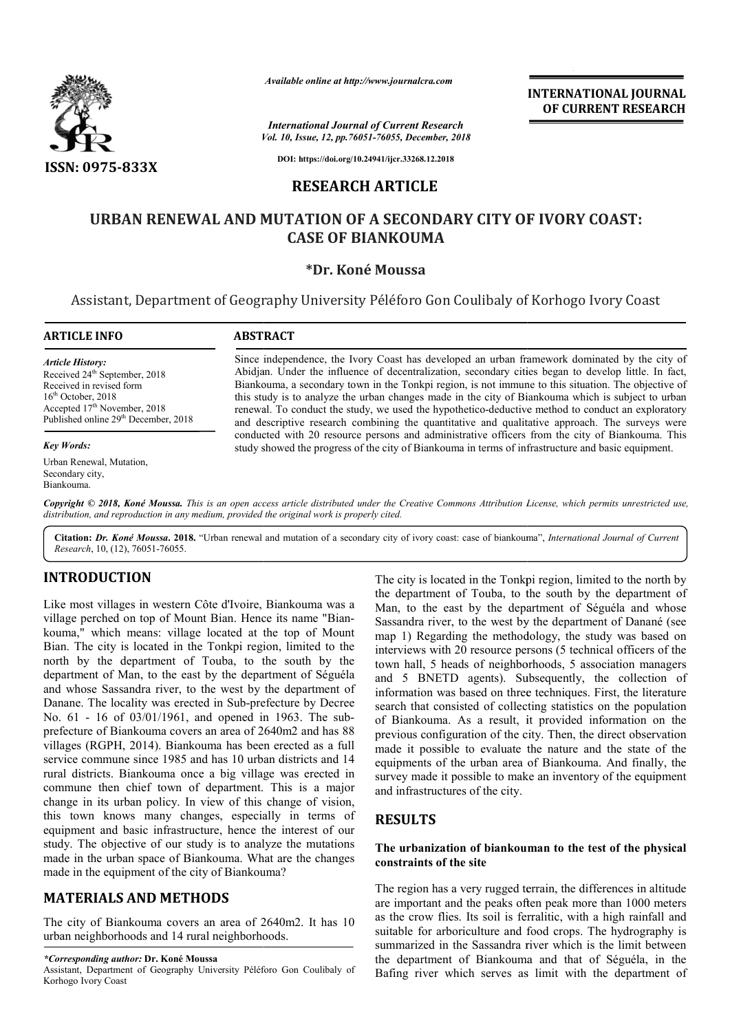

*Vol. 10, Issue, 12, pp.76051-76055, December, 2018 International Journal of Current Research*

**INTERNATIONAL JOURNAL OF CURRENT RESEARCH**

**DOI: https://doi.org/10.24941/ijcr.33268.12.2018**

# **RESEARCH ARTICLE**

# **URBAN RENEWAL AND MUTATION OF A SECONDARY CITY OF IVORY COAST: RENEWAL CASE OF BIANKOUMA**

# **\*Dr. Koné Moussa**

Assistant, Department of Geography University Péléforo Gon Coulibaly of Korhogo Ivory Coast

#### **ARTICLE INFO ABSTRACT**

*Article History:* Received 24<sup>th</sup> September, 2018 Received in revised form  $16<sup>th</sup>$  October, 2018 Accepted 17<sup>th</sup> November, 2018 Published online 29<sup>th</sup> December, 2018

#### *Key Words:*

Urban Renewal, Mutation, Secondary city, Biankouma.

Since independence, the Ivory Coast has developed an urban framework dominated by the city of Abidjan. Under the influence of decentralization, secondary cities began to develop little. In fact, Biankouma, a secondary town in the Tonkpi region, is not immune to this situation. The objective of this study is to analyze the urban changes made in the city of Biankouma which is subject to urban renewa renewal. To conduct the study, we used the hypothetico-deductive method to conduct an exploratory and descriptive research combining the quantitative and qualitative approach. The surveys were Since independence, the Ivory Coast has developed an urban framework dominated by the city of Abidjan. Under the influence of decentralization, secondary cities began to develop little. In fact, Biankouma, a secondary town study showed the progress of the city of Biankouma in terms of infrastructure and basic equipment. Available online at http://www.journalcra.com<br> *Available online at http://www.journalcra.com*<br> *Vol. 10, Issue, 12, pp.76051-76055, December,*<br>
DOI: https://doi.org/10.24941/ijer.33268.12.2018<br> **RESEARCH ARTICLE**<br> **AL AND** 

Copyright © 2018, Koné Moussa. This is an open access article distributed under the Creative Commons Attribution License, which permits unrestricted use, *distribution, and reproduction in any medium, provided the original work is properly cited.*

Citation: Dr. Koné Moussa. 2018. "Urban renewal and mutation of a secondary city of ivory coast: case of biankouma", *International Journal of Current Research*, 10, (12), 76051-76055.

# **INTRODUCTION**

Like most villages in western Côte d'Ivoire, Biankouma was a village perched on top of Mount Bian. Hence its name "Biankouma," which means: village located at the top of Mount Bian. The city is located in the Tonkpi region, limited to the north by the department of Touba, to the south by the department of Man, to the east by the department of Séguéla and whose Sassandra river, to the west by the department of Danane. The locality was erected in Sub-prefecture by Decree No. 61 - 16 of 03/01/1961, and opened in 1963. The sub prefecture of Biankouma covers an area of 2640m2 and has 88 villages (RGPH, 2014). Biankouma has been erected as a full service commune since 1985 and has 10 urban districts and 14 rural districts. Biankouma once a big village was erected in commune then chief town of department. This is a major change in its urban policy. In view of this change of vision, this town knows many changes, especially in terms of equipment and basic infrastructure, hence the interest of our study. The objective of our study is to analyze the mutations made in the urban space of Biankouma. What are the changes made in the equipment of the city of Biankouma? dra river, to the west by the department of<br>ity was erected in Sub-prefecture by Decree<br>3/01/1961, and opened in 1963. The sub-

# **MATERIALS AND METHODS**

The city of Biankouma covers an area of 2640m2. It has 10 urban neighborhoods and 14 rural neighborhoods.

#### *\*Corresponding author:* **Dr. Koné Moussa**

Assistant, Department of Geography University Péléforo Gon Coulibaly of Korhogo Ivory Coast

The city is located in the Tonkpi region, limited to the north by the department of Touba, to the south by the department of Man, to the east by the department of Séguéla and whose Sassandra river, to the west by the department of Danané (see map 1) Regarding the methodology, the study was based on interviews with 20 resource persons (5 technical officers of the town hall, 5 heads of neighborhoods, 5 association managers and 5 BNETD agents). Subsequently, the collection of information was based on three techniques. First, the literature search that consisted of collecting statistics on the population of Biankouma. As a result, it provided information on the previous configuration of the city. Then, the direct made it possible to evaluate the nature and the state of the made it possible to evaluate the nature and the state of the equipments of the urban area of Biankouma. And finally, the survey made it possible to make an inventory of the equipment and infrastructures of the city. The city is located in the Tonkpi region, limited to the north by the department of Man, to the east by the department of Séguéla and whose Sassandra river, to the west by the department of Danané (see map 1) Regarding the ormation was based on three techniques. First, the literature<br>rch that consisted of collecting statistics on the population<br>Biankouma. As a result, it provided information on the<br>vious configuration of the city. Then, the INTERNATIONAL JOURNAL<br>
FORT Research<br>
SE December, 2018<br>
SE December, 2018<br>
TICLE<br>
ECONDARY CITY OF IVORY COAST:<br>
TICLE<br>
ECONDARY CITY OF IVORY COAST:<br>
SECONDARY COUNT<br>
SECONDARY COUNT<br>
SECONDARY COUNT<br>
SECOND THE SECOND C

# **RESULTS**

# **The urbanization of biankouman to the test of the physical constraints of the site**

The region has a very rugged terrain, the differences in altitude are important and the peaks often peak more than 1000 meters as the crow flies. Its soil is ferralitic, with a high rainfall and suitable for arboriculture and food crops. The hydrography is summarized in the Sassandra river which is the limit between the department of Biankouma and that of Séguéla, in the Bafing river which serves as limit with the department of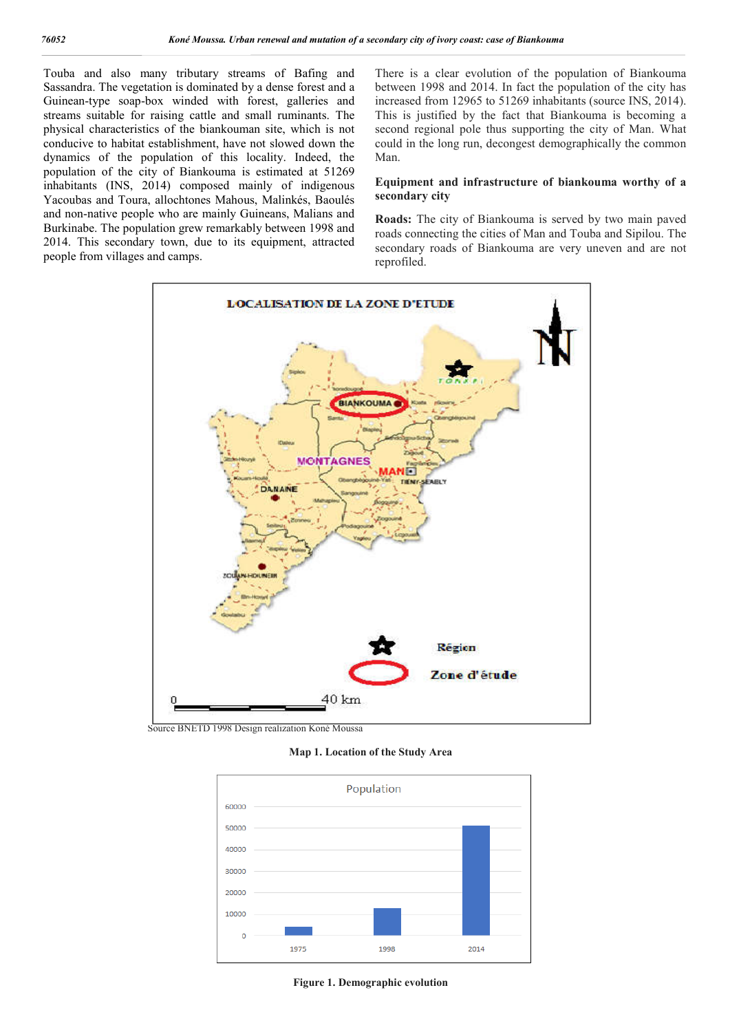Touba and also many tributary streams of Bafing and Sassandra. The vegetation is dominated by a dense forest and a Guinean-type soap-box winded with forest, galleries and streams suitable for raising cattle and small ruminants. The physical characteristics of the biankouman site, which is not conducive to habitat establishment, have not slowed down the dynamics of the population of this locality. Indeed, the population of the city of Biankouma is estimated at 51269 inhabitants (INS, 2014) composed mainly of indigenous Yacoubas and Toura, allochtones Mahous, Malinkés, Baoulés and non-native people who are mainly Guineans, Malians and Burkinabe. The population grew remarkably between 1998 and 2014. This secondary town, due to its equipment, attracted people from villages and camps.

There is a clear evolution of the population of Biankouma between 1998 and 2014. In fact the population of the city has increased from 12965 to 51269 inhabitants (source INS, 2014). This is justified by the fact that Biankouma is becoming a second regional pole thus supporting the city of Man. What could in the long run, decongest demographically the common Man.

## **Equipment and infrastructure of biankouma worthy of a secondary city**

**Roads:** The city of Biankouma is served by two main paved roads connecting the cities of Man and Touba and Sipilou. The secondary roads of Biankouma are very uneven and are not reprofiled.



Source BNETD 1998 Design realization Koné Moussa

**Map 1. Location of the Study Area**



**Figure 1. Demographic evolution**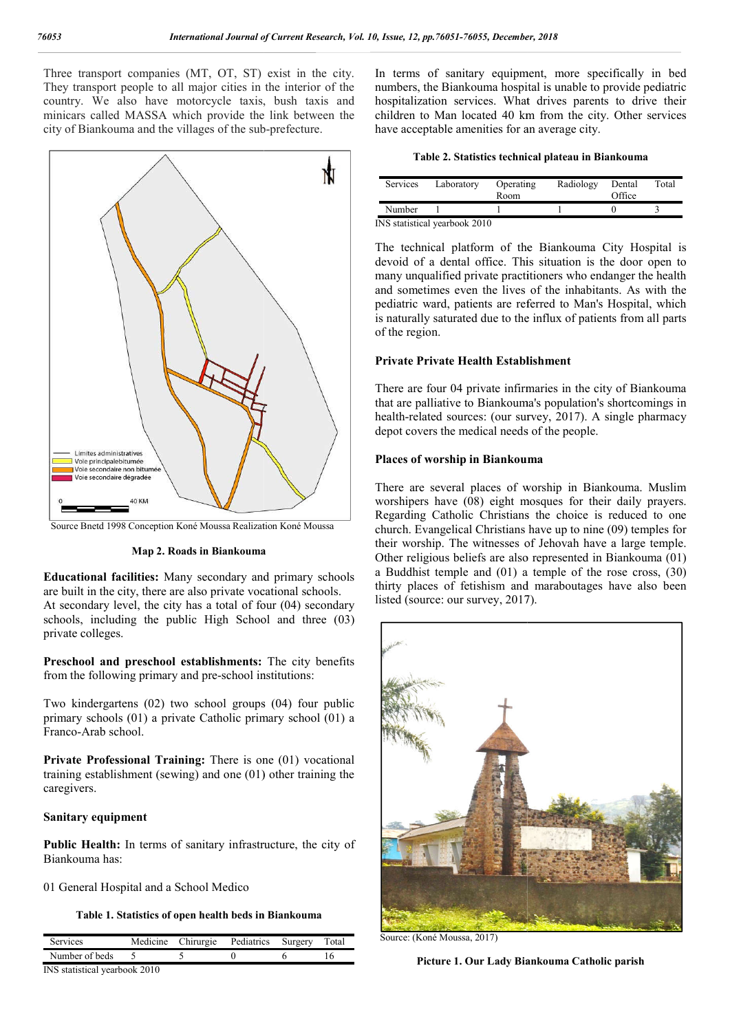Three transport companies (MT, OT, ST) exist in the city. They transport people to all major cities in the interior of the country. We also have motorcycle taxis, bush taxis and minicars called MASSA which provide the link between the city of Biankouma and the villages of the sub-prefecture.



Source Bnetd 1998 Conception Koné Moussa Realization Koné Moussa

## **Map 2. Roads in Biankouma**

**Educational facilities:** Many secondary and primary schools are built in the city, there are also private vocational schools. At secondary level, the city has a total of four (04) secondary schools, including the public High School and three (03) private colleges.

Preschool and preschool establishments: The city benefits from the following primary and pre-school institutions:

Two kindergartens (02) two school groups (04) four public primary schools (01) a private Catholic primary school (01) a Franco-Arab school. from the following primary and pre-school institutions:<br>
Two kindergartens (02) two school groups (04) four public<br>
primary schools (01) a private Catholic primary school (01) a<br>
Franco-Arab school.<br> **Private Professional** 

training establishment (sewing) and one (01) other training the caregivers.

## **Sanitary equipment**

**Public Health:** In terms of sanitary infrastructure, the city of Biankouma has:

01 General Hospital and a School Medico

**Table 1. Statistics of open health beds in Biankouma**

| <b>Services</b>               |        |  | Medicine Chirurgie Pediatrics Surgery |  | Total |  |  |  |
|-------------------------------|--------|--|---------------------------------------|--|-------|--|--|--|
| Number of beds                | $\sim$ |  |                                       |  |       |  |  |  |
| INS statistical yearbook 2010 |        |  |                                       |  |       |  |  |  |

In terms of sanitary equipment, more specifically in bed numbers, the Biankouma hospital is unable to provide pediatric hospitalization services. What drives parents to drive their children to Man located 40 km from the city. Other services have acceptable amenities for an average city. sanitary equipment, more specifically in bed<br>Biankouma hospital is unable to provide pediatric<br>1 services. What drives parents to drive their<br>an located 40 km from the city. Other services

| Services                      | Laboratory | Operating<br>Room | Radiology | Dental<br>Office | Total |  |  |
|-------------------------------|------------|-------------------|-----------|------------------|-------|--|--|
| Number                        |            |                   |           |                  |       |  |  |
| INS statistical yearbook 2010 |            |                   |           |                  |       |  |  |

The technical platform of the Biankouma City Hospital is devoid of a dental office. This situation is the door open to The technical platform of the Biankouma City Hospital is devoid of a dental office. This situation is the door open to many unqualified private practitioners who endanger the health and sometimes even the lives of the inhabitants. As with the pediatric ward, patients are referred to Man's Hospital, which is naturally saturated due to the influx of patients from all parts of the region.

## **Private Private Health Establishment**

There are four 04 private infirmaries in the city of Biankouma that are palliative to Biankouma's population's shortcomings in health-related sources: (our survey, 2017). A single pharmacy depot covers the medical needs of the people. and sometimes even the lives of the inhabitants. As with the pediatric ward, patients are referred to Man's Hospital, which is naturally saturated due to the influx of patients from all parts of the region.<br>Private Private

#### **Places of worship in Biankouma ankouma**

There are several places of worship in Biankouma. Muslim worshipers have (08) eight mosques for their daily prayers. Regarding Catholic Christians the choice is reduced to one church. Evangelical Christians have up to nine (09) temples for their worship. The witnesses of Jehovah have a large temple. Other religious beliefs are also represented in Biankouma (01) a Buddhist temple and (01) a temple of the rose cross, (30) thirty places of fetishism and maraboutages have also been listed (source: our survey, 2017). are several places of worship in Biankouma. Mu<br>pers have (08) eight mosques for their daily pra<br>ling Catholic Christians the choice is reduced to<br>u. Evangelical Christians have up to nine (09) temple<br>vorship. The witnesses



Source: (Koné Moussa, 2017)

**Picture 1. Our Lady Biankouma Catholic parish**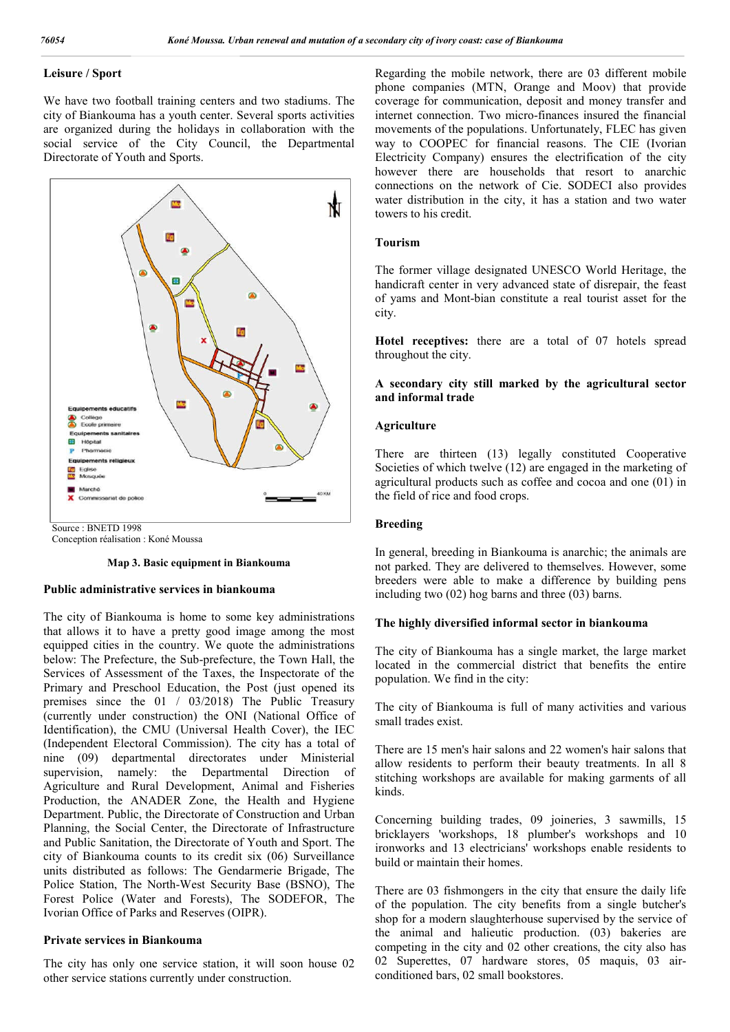# **Leisure / Sport**

We have two football training centers and two stadiums. The city of Biankouma has a youth center. Several sports activities are organized during the holidays in collaboration with the social service of the City Council, the Departmental Directorate of Youth and Sports.



Source : BNETD 1998

Conception réalisation : Koné Moussa

#### **Map 3. Basic equipment in Biankouma**

## **Public administrative services in biankouma**

The city of Biankouma is home to some key administrations that allows it to have a pretty good image among the most equipped cities in the country. We quote the administrations below: The Prefecture, the Sub-prefecture, the Town Hall, the Services of Assessment of the Taxes, the Inspectorate of the Primary and Preschool Education, the Post (just opened its premises since the 01 / 03/2018) The Public Treasury (currently under construction) the ONI (National Office of Identification), the CMU (Universal Health Cover), the IEC (Independent Electoral Commission). The city has a total of nine (09) departmental directorates under Ministerial supervision, namely: the Departmental Direction of Agriculture and Rural Development, Animal and Fisheries Production, the ANADER Zone, the Health and Hygiene Department. Public, the Directorate of Construction and Urban Planning, the Social Center, the Directorate of Infrastructure and Public Sanitation, the Directorate of Youth and Sport. The city of Biankouma counts to its credit six (06) Surveillance units distributed as follows: The Gendarmerie Brigade, The Police Station, The North-West Security Base (BSNO), The Forest Police (Water and Forests), The SODEFOR, The Ivorian Office of Parks and Reserves (OIPR).

#### **Private services in Biankouma**

The city has only one service station, it will soon house 02 other service stations currently under construction.

Regarding the mobile network, there are 03 different mobile phone companies (MTN, Orange and Moov) that provide coverage for communication, deposit and money transfer and internet connection. Two micro-finances insured the financial movements of the populations. Unfortunately, FLEC has given way to COOPEC for financial reasons. The CIE (Ivorian Electricity Company) ensures the electrification of the city however there are households that resort to anarchic connections on the network of Cie. SODECI also provides water distribution in the city, it has a station and two water towers to his credit.

#### **Tourism**

The former village designated UNESCO World Heritage, the handicraft center in very advanced state of disrepair, the feast of yams and Mont-bian constitute a real tourist asset for the city.

**Hotel receptives:** there are a total of 07 hotels spread throughout the city.

# **A secondary city still marked by the agricultural sector and informal trade**

## **Agriculture**

There are thirteen (13) legally constituted Cooperative Societies of which twelve (12) are engaged in the marketing of agricultural products such as coffee and cocoa and one (01) in the field of rice and food crops.

#### **Breeding**

In general, breeding in Biankouma is anarchic; the animals are not parked. They are delivered to themselves. However, some breeders were able to make a difference by building pens including two (02) hog barns and three (03) barns.

## **The highly diversified informal sector in biankouma**

The city of Biankouma has a single market, the large market located in the commercial district that benefits the entire population. We find in the city:

The city of Biankouma is full of many activities and various small trades exist.

There are 15 men's hair salons and 22 women's hair salons that allow residents to perform their beauty treatments. In all 8 stitching workshops are available for making garments of all kinds.

Concerning building trades, 09 joineries, 3 sawmills, 15 bricklayers 'workshops, 18 plumber's workshops and 10 ironworks and 13 electricians' workshops enable residents to build or maintain their homes.

There are 03 fishmongers in the city that ensure the daily life of the population. The city benefits from a single butcher's shop for a modern slaughterhouse supervised by the service of the animal and halieutic production. (03) bakeries are competing in the city and 02 other creations, the city also has 02 Superettes, 07 hardware stores, 05 maquis, 03 airconditioned bars, 02 small bookstores.